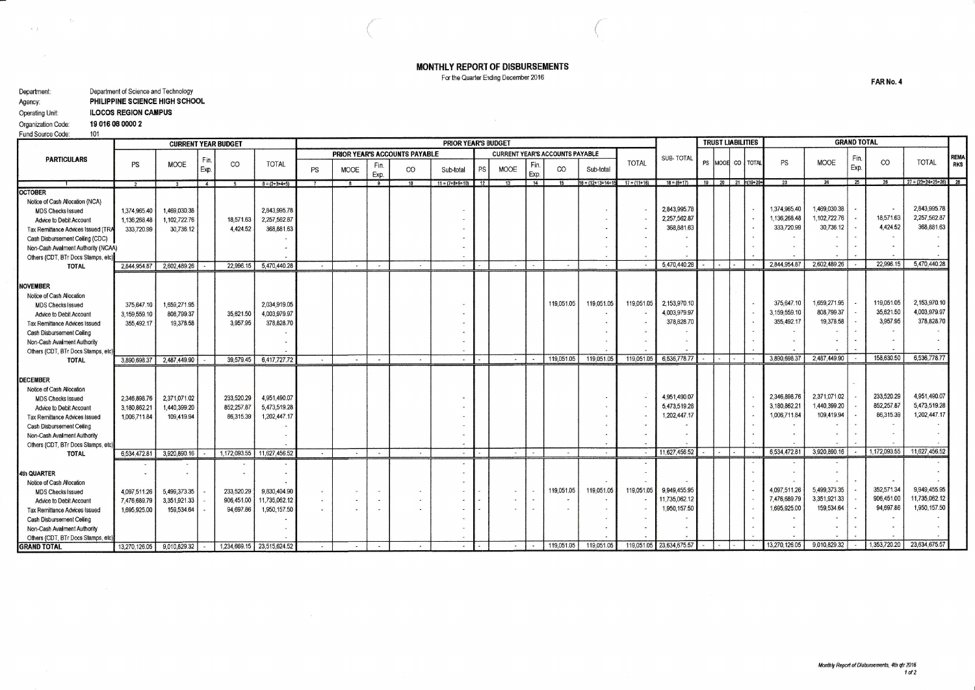MONTHLY REPORT OF DISBURSEMENTS

For the Quarter Ending December 2016

| Department:        | Department of Science and Technology |
|--------------------|--------------------------------------|
| Agency:            | PHILIPPINE SCIENCE HIGH SCHOOL       |
| Operating Unit:    | <b>ILOCOS REGION CAMPUS</b>          |
| Organization Code: | 19 016 08 0000 2                     |
| Fund Source Code:  | 101                                  |

\_

 $\mathbf{v}=\mathbf{y}$ 

 $\overline{\Sigma}$   $\epsilon$ 

|                                                    |               | <b>CURRENT YEAR BUDGET</b> |              |              |                            |        |             |                          |                               | <b>PRIOR YEAR'S BUDGET</b> |    |                                        |             |            |                            |                |                  |  | <b>TRUST LIABILITIES</b>      |               |              | <b>GRAND TOTAL</b> |              |                               |             |
|----------------------------------------------------|---------------|----------------------------|--------------|--------------|----------------------------|--------|-------------|--------------------------|-------------------------------|----------------------------|----|----------------------------------------|-------------|------------|----------------------------|----------------|------------------|--|-------------------------------|---------------|--------------|--------------------|--------------|-------------------------------|-------------|
|                                                    |               |                            |              |              |                            |        |             |                          | PRIOR YEAR'S ACCOUNTS PAYABLE |                            |    | <b>CURRENT YEAR'S ACCOUNTS PAYABLE</b> |             |            |                            |                | <b>SUB-TOTAL</b> |  |                               |               |              | Fin.               |              |                               | <b>REM/</b> |
| <b>PARTICULARS</b>                                 | PS            | <b>MOOE</b>                | Fin.<br>Exp. | CO           | <b>TOTAL</b>               | PS     | <b>MOOE</b> | Fin.<br>Exp.             | CO                            | Sub-total                  | PS | <b>MOOE</b>                            | Fin<br>Exp. | CO         | Sub-total                  | <b>TOTAL</b>   |                  |  | PS MOOR CO TOTAL              | PS            | MOOE         | Exp.               | $_{\rm CO}$  | <b>TOTAL</b>                  | <b>RKS</b>  |
|                                                    |               |                            | 4            |              | $6 = (2+3+4+5)$            |        |             | 9                        |                               | $11 = (7+8+9+10)$          | 12 | 13                                     | 14          | 15         | $16 = (12 + 13 + 14 + 15)$ | $17 = (11+16)$ | $18 = (6 + 17)$  |  | $19$   20   21 $\neq$ (19+20+ | 23            | 24           | 25                 | 26           | $27 = (23 + 24 + 25 + 26)$ 28 |             |
| <b>OCTOBER</b>                                     |               |                            |              |              |                            |        |             |                          |                               |                            |    |                                        |             |            |                            |                |                  |  |                               |               |              |                    |              |                               |             |
| Notice of Cash Allocation (NCA)                    |               |                            |              |              |                            |        |             |                          |                               |                            |    |                                        |             |            |                            |                |                  |  |                               |               |              |                    |              |                               |             |
| <b>MDS Checks Issued</b>                           | 1,374,965.40  | 1,469,030.38               |              |              | 2,843,995.78               |        |             |                          |                               |                            |    |                                        |             |            |                            |                | 2,843,995.78     |  |                               | 1,374,965,40  | 1,469,030.38 |                    |              | 2,843,995.78                  |             |
| Advice to Debit Account                            | 1,136,268.48  | 1.102.722.76               |              | 18,571.63    | 2,257,562.87               |        |             |                          |                               |                            |    |                                        |             |            |                            |                | 2,257,562.87     |  |                               | 1,136,268.48  | 1.102.722.76 |                    | 18,571.63    | 2,257,562.87                  |             |
| Tax Remittance Advices Issued (TR/                 | 333,720.99    | 30,736.12                  |              | 4.424.52     | 368,881.63                 |        |             |                          |                               |                            |    |                                        |             |            |                            |                | 368,881.63       |  |                               | 333,720.99    | 30,736.12    |                    | 4.424.52     | 368,881.63                    |             |
| Cash Disbursement Ceiling (CDC)                    |               |                            |              |              |                            |        |             |                          |                               |                            |    |                                        |             |            |                            |                |                  |  |                               |               |              |                    |              |                               |             |
| Non-Cash Availment Authority (NCAA)                |               |                            |              |              |                            |        |             |                          |                               |                            |    |                                        |             |            |                            |                |                  |  |                               |               |              |                    |              |                               |             |
| Others (CDT, BTr Docs Stamps, etc)                 |               |                            |              |              |                            |        |             |                          |                               |                            |    |                                        |             |            |                            |                | 5,470,440.28     |  |                               | 2,844,954.87  | 2,602,489.26 |                    | 22,996.15    | 5,470,440.28                  |             |
| <b>TOTAL</b>                                       | 2.844,954.87  | 2,602,489.26               |              | 22,996.15    | 5,470,440.28               |        | $\sim$      | $\sim$                   | <b>Section</b>                | $\sim$                     |    | <b>Burning</b>                         | $\sim$      | $\sim$     | $\sim$                     |                |                  |  |                               |               |              |                    |              |                               |             |
|                                                    |               |                            |              |              |                            |        |             |                          |                               |                            |    |                                        |             |            |                            |                |                  |  |                               |               |              |                    |              |                               |             |
| <b>NOVEMBER</b>                                    |               |                            |              |              |                            |        |             |                          |                               |                            |    |                                        |             |            |                            |                |                  |  |                               |               |              |                    |              |                               |             |
| Notice of Cash Allocation                          |               |                            |              |              |                            |        |             |                          |                               |                            |    |                                        |             | 119,051.05 | 119,051.05                 | 119,051.05     | 2,153,970.10     |  |                               | 375.647.10    | 1,659,271.95 |                    | 119,051.05   | 2,153,970.10                  |             |
| <b>MDS Checks Issued</b>                           | 375,647.10    | 1,659.271.95               |              |              | 2.034.919.05               |        |             |                          |                               |                            |    |                                        |             |            |                            |                | 4.003,979.97     |  |                               | 3,159,559.10  | 808,799.37   |                    | 35,621.50    | 4,003,979.97                  |             |
| Advice to Debit Account                            | 3,159,559.10  | 808,799.37                 |              | 35,621.50    | 4,003,979.97               |        |             |                          |                               |                            |    |                                        |             |            |                            |                | 378,828.70       |  |                               | 355,492.17    | 19,378.58    |                    | 3,957.95     | 378,828.70                    |             |
| Tax Remittance Advices Issued                      | 355,492.17    | 19.378.58                  |              | 3.957.95     | 378,828.70                 |        |             |                          |                               |                            |    |                                        |             |            |                            |                |                  |  |                               |               |              |                    |              |                               |             |
| Cash Disbursement Celling                          |               |                            |              |              |                            |        |             |                          |                               |                            |    |                                        |             |            |                            |                |                  |  |                               |               |              |                    |              |                               |             |
| Non-Cash Availment Authority                       |               |                            |              |              |                            |        |             |                          |                               |                            |    |                                        |             |            |                            |                |                  |  |                               |               |              |                    |              |                               |             |
| Others (CDT, BTr Docs Stamps, etc)<br><b>TOTAL</b> | 3.890.698.37  | 2,487,449.90               |              | 39,579.45    | 6,417,727,72               |        | $\sim$      | $\sim$                   | $\sim$                        | $\bullet$                  |    | $\sim$                                 |             | 119,051.05 | 119,051.05                 | 119,051.05     | 6,536,778.77     |  |                               | 3,890,698.37  | 2,487,449.90 |                    | 158,630.50   | 6,536,778.77                  |             |
|                                                    |               |                            |              |              |                            |        |             |                          |                               |                            |    |                                        |             |            |                            |                |                  |  |                               |               |              |                    |              |                               |             |
| <b>DECEMBER</b>                                    |               |                            |              |              |                            |        |             |                          |                               |                            |    |                                        |             |            |                            |                |                  |  |                               |               |              |                    |              |                               |             |
| Notice of Cash Allocation                          |               |                            |              |              |                            |        |             |                          |                               |                            |    |                                        |             |            |                            |                |                  |  |                               |               |              |                    |              |                               |             |
| <b>MDS Checks Issued</b>                           | 2,346,898.76  | 2.371.071.02               |              | 233.520.29   | 4.951.490.07               |        |             |                          |                               |                            |    |                                        |             |            |                            |                | 4,951,490.07     |  |                               | 2.346.898.76  | 2,371,071.02 |                    | 233,520.29   | 4,951,490.07                  |             |
| Advice to Debit Account                            | 3,180,862.21  | 1,440,399.20               |              | 852, 257.87  | 5,473,519.28               |        |             |                          |                               |                            |    |                                        |             |            |                            |                | 5,473,519.28     |  |                               | 3,180,862.21  | 1,440,399.20 |                    | 852,257.87   | 5,473,519.28                  |             |
| <b>Tax Remittance Advices Issued</b>               | 1.006,711.84  | 109,419.94                 |              | 86,315.39    | 1,202,447.17               |        |             |                          |                               |                            |    |                                        |             |            |                            |                | 1,202,447.17     |  |                               | 1,006,711.84  | 109,419.94   |                    | 86,315.39    | 1,202,447.17                  |             |
| Cash Disbursement Ceiling                          |               |                            |              |              |                            |        |             |                          |                               |                            |    |                                        |             |            |                            |                |                  |  |                               |               |              |                    |              |                               |             |
| Non-Cash Availment Authority                       |               |                            |              |              |                            |        |             |                          |                               |                            |    |                                        |             |            |                            |                |                  |  |                               |               |              |                    |              |                               |             |
| Others (CDT, BTr Docs Stamps, etc)                 |               |                            |              |              |                            |        |             |                          |                               |                            |    |                                        |             |            |                            |                |                  |  |                               |               |              |                    |              |                               |             |
| <b>TOTAL</b>                                       | 6,534,472.81  | 3,920,890.16               |              | 1,172,093.55 | 11,627,456.52              |        | $\sim$      | $\sim$                   | $\sim$                        | $\sim$                     |    | $\sim$                                 | $\sim$      | $\sim$     | $\sim$                     | $\sim$         | 11,627,456.52    |  |                               | 6,534,472.81  | 3,920,890.16 |                    | 1,172,093.55 | 11,627,456,52                 |             |
|                                                    |               |                            |              |              |                            |        |             |                          |                               |                            |    |                                        |             |            |                            |                |                  |  |                               |               |              |                    |              |                               |             |
| 4th QUARTER                                        |               |                            |              |              |                            |        |             |                          |                               |                            |    |                                        |             |            |                            |                |                  |  |                               |               |              |                    |              |                               |             |
| Notice of Cash Allocation                          |               |                            |              |              |                            |        |             |                          |                               |                            |    |                                        |             |            |                            |                |                  |  |                               |               |              |                    |              |                               |             |
| <b>MDS Checks Issued</b>                           | 4,097,511.26  | 5,499,373.35               |              | 233.520.29   | 9.830.404.90               |        |             | $\overline{\phantom{a}}$ |                               |                            |    |                                        |             | 119,051.05 | 119,051.05                 | 119.051.05     | 9,949,455.95     |  |                               | 4.097.511.26  | 5,499,373.35 |                    | 352,571.34   | 9,949,455.95                  |             |
| Advice to Debit Account                            | 7,476,689.79  | 3,351,921.33               |              | 906,451.00   | 11,735,062.12              |        |             | ×.                       |                               |                            |    |                                        |             |            |                            |                | 11,735,062.12    |  |                               | 7,476,689.79  | 3,351,921.33 |                    | 906,451.00   | 11,735,062.12                 |             |
| Tax Remittance Advices Issued                      | 1,695,925.00  | 159,534.64                 |              | 94,697.86    | 1,950,157.50               |        |             | $\overline{\phantom{a}}$ |                               |                            |    |                                        |             |            |                            |                | 1,950,157.50     |  |                               | 1,695,925.00  | 159,534.64   |                    | 94,697.86    | 1,950,157.50                  |             |
| Cash Disbursement Ceiling                          |               |                            |              |              |                            |        |             |                          |                               |                            |    |                                        |             |            |                            |                |                  |  |                               |               |              |                    |              |                               |             |
| Non-Cash Availment Authority                       |               |                            |              |              |                            |        |             |                          |                               |                            |    |                                        |             |            |                            |                |                  |  |                               |               |              |                    |              |                               |             |
| Others (CDT, BTr Docs Stamps, etc.                 |               |                            |              |              |                            |        |             |                          |                               |                            |    |                                        |             |            |                            |                |                  |  |                               |               |              |                    |              |                               |             |
| <b>GRAND TOTAL</b>                                 | 13,270,126.05 | 9,010,829.32               |              |              | 1,234,669.15 23,515,624.52 | $\sim$ | $\sim$      | $\overline{\phantom{a}}$ |                               |                            |    | $\sim$                                 |             | 119,051.05 | 119,051.05                 | 119,051.05     | 23,634,675.57    |  |                               | 13,270,126.05 | 9.010.829.32 |                    | 1,353,720.20 | 23,634,675.57                 |             |

FAR No. 4